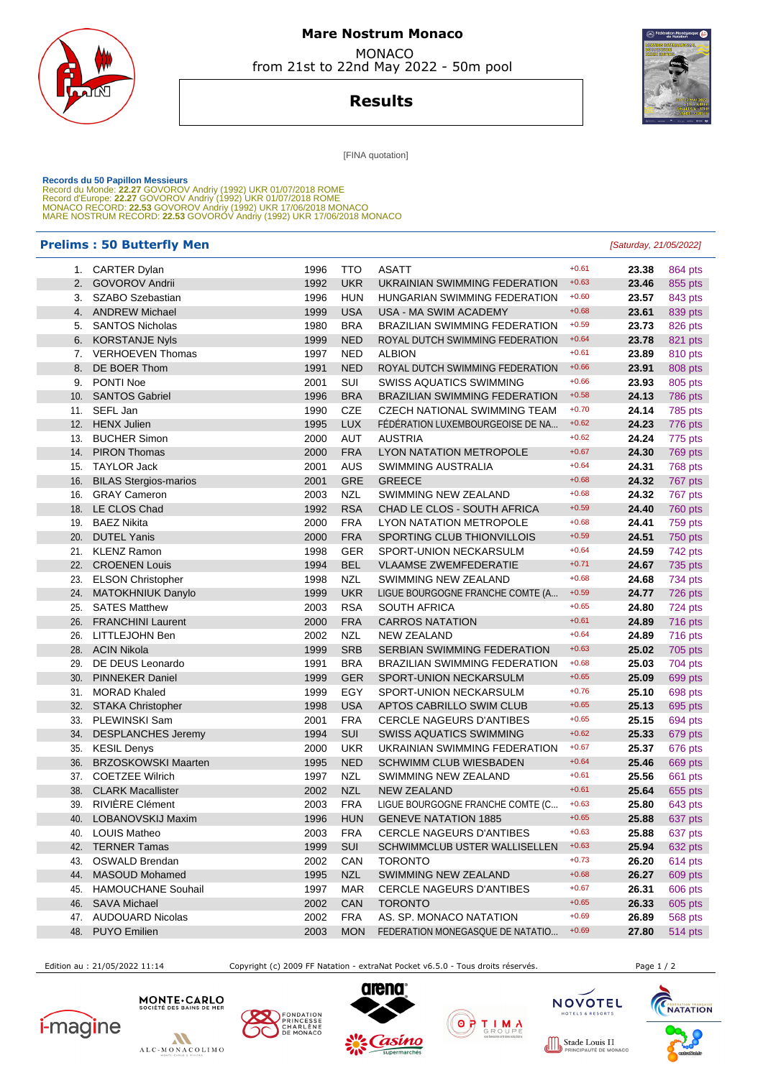

## **Mare Nostrum Monaco MONACO**

from 21st to 22nd May 2022 - 50m pool

**Results**



[FINA quotation]

Records du 50 Papillon Messieurs<br>Record du Monde: 22.27 GOVOROV Andriy (1992) UKR 01/07/2018 ROME<br>Record d'Europe: 22.27 GOVOROV Andriy (1992) UKR 01/07/2018 ROME<br>MONACO RECORD: 22.53 GOVOROV Andriy (1992) UKR 17/06/2018 M

## **Prelims : 50 Butterfly Men** [Saturday, 21/05/2022]

|            | 1. CARTER Dylan                           | 1996         | TTO               | <b>ASATT</b>                                                | $+0.61$            | 23.38          | 864 pts            |
|------------|-------------------------------------------|--------------|-------------------|-------------------------------------------------------------|--------------------|----------------|--------------------|
| 2.         | <b>GOVOROV Andrii</b>                     | 1992         | <b>UKR</b>        | UKRAINIAN SWIMMING FEDERATION                               | $+0.63$            | 23.46          | 855 pts            |
| 3.         | SZABO Szebastian                          | 1996         | <b>HUN</b>        | HUNGARIAN SWIMMING FEDERATION                               | $+0.60$            | 23.57          | 843 pts            |
| 4.         | <b>ANDREW Michael</b>                     | 1999         | <b>USA</b>        | USA - MA SWIM ACADEMY                                       | $+0.68$            | 23.61          | 839 pts            |
| 5.         | <b>SANTOS Nicholas</b>                    | 1980         | <b>BRA</b>        | <b>BRAZILIAN SWIMMING FEDERATION</b>                        | $+0.59$            | 23.73          | 826 pts            |
| 6.         | <b>KORSTANJE Nyls</b>                     | 1999         | <b>NED</b>        | ROYAL DUTCH SWIMMING FEDERATION                             | $+0.64$            | 23.78          | 821 pts            |
| 7.         | <b>VERHOEVEN Thomas</b>                   | 1997         | <b>NED</b>        | <b>ALBION</b>                                               | $+0.61$            | 23.89          | 810 pts            |
| 8.         | DE BOER Thom                              | 1991         | <b>NED</b>        | ROYAL DUTCH SWIMMING FEDERATION                             | $+0.66$            | 23.91          | 808 pts            |
| 9.         | PONTI Noe                                 | 2001         | SUI               | <b>SWISS AQUATICS SWIMMING</b>                              | $+0.66$            | 23.93          | 805 pts            |
| 10.        | <b>SANTOS Gabriel</b>                     | 1996         | <b>BRA</b>        | <b>BRAZILIAN SWIMMING FEDERATION</b>                        | $+0.58$            | 24.13          | 786 pts            |
| 11.        | SEFL Jan                                  | 1990         | <b>CZE</b>        | <b>CZECH NATIONAL SWIMMING TEAM</b>                         | $+0.70$            | 24.14          | 785 pts            |
| 12.        | <b>HENX Julien</b>                        | 1995         | <b>LUX</b>        | FÉDÉRATION LUXEMBOURGEOISE DE NA                            | $+0.62$            | 24.23          | 776 pts            |
| 13.        | <b>BUCHER Simon</b>                       | 2000         | <b>AUT</b>        | <b>AUSTRIA</b>                                              | $+0.62$            | 24.24          | 775 pts            |
| 14.        | <b>PIRON Thomas</b>                       | 2000         | <b>FRA</b>        | LYON NATATION METROPOLE                                     | $+0.67$            | 24.30          | 769 pts            |
| 15.        | <b>TAYLOR Jack</b>                        | 2001         | <b>AUS</b>        | SWIMMING AUSTRALIA                                          | $+0.64$            | 24.31          | 768 pts            |
| 16.        | <b>BILAS Stergios-marios</b>              | 2001         | <b>GRE</b>        | <b>GREECE</b>                                               | $+0.68$            | 24.32          | 767 pts            |
| 16.        | <b>GRAY Cameron</b>                       | 2003         | <b>NZL</b>        | SWIMMING NEW ZEALAND                                        | $+0.68$            | 24.32          | 767 pts            |
| 18.        | LE CLOS Chad                              | 1992         | <b>RSA</b>        | CHAD LE CLOS - SOUTH AFRICA                                 | $+0.59$            | 24.40          | 760 pts            |
| 19.        | <b>BAEZ Nikita</b>                        | 2000         | <b>FRA</b>        | LYON NATATION METROPOLE                                     | $+0.68$            | 24.41          | 759 pts            |
| 20.        | <b>DUTEL Yanis</b>                        | 2000         | <b>FRA</b>        | SPORTING CLUB THIONVILLOIS                                  | $+0.59$            | 24.51          | 750 pts            |
| 21.        | <b>KLENZ Ramon</b>                        | 1998         | <b>GER</b>        | SPORT-UNION NECKARSULM                                      | $+0.64$            | 24.59          | 742 pts            |
| 22.        | <b>CROENEN Louis</b>                      | 1994         | <b>BEL</b>        | <b>VLAAMSE ZWEMFEDERATIE</b>                                | $+0.71$            | 24.67          | 735 pts            |
| 23.        | <b>ELSON Christopher</b>                  | 1998         | <b>NZL</b>        | SWIMMING NEW ZEALAND                                        | $+0.68$            | 24.68          | 734 pts            |
| 24.        | MATOKHNIUK Danylo                         | 1999         | <b>UKR</b>        | LIGUE BOURGOGNE FRANCHE COMTE (A                            | $+0.59$            | 24.77          | 726 pts            |
| 25.        | <b>SATES Matthew</b>                      | 2003         | <b>RSA</b>        | <b>SOUTH AFRICA</b>                                         | $+0.65$            | 24.80          | 724 pts            |
| 26.        | <b>FRANCHINI Laurent</b>                  | 2000         | <b>FRA</b>        | <b>CARROS NATATION</b>                                      | $+0.61$            | 24.89          | 716 pts            |
| 26.        | LITTLEJOHN Ben                            | 2002         | <b>NZL</b>        | <b>NEW ZEALAND</b>                                          | $+0.64$            | 24.89          | 716 pts            |
| 28.        | <b>ACIN Nikola</b>                        | 1999         | <b>SRB</b>        | <b>SERBIAN SWIMMING FEDERATION</b>                          | $+0.63$            | 25.02          | 705 pts            |
| 29.        | DE DEUS Leonardo                          | 1991         | <b>BRA</b>        | <b>BRAZILIAN SWIMMING FEDERATION</b>                        | $+0.68$<br>$+0.65$ | 25.03          | 704 pts            |
| 30.        | <b>PINNEKER Daniel</b>                    | 1999         | <b>GER</b>        | SPORT-UNION NECKARSULM                                      | $+0.76$            | 25.09          | 699 pts            |
| 31.        | <b>MORAD Khaled</b>                       | 1999         | EGY<br><b>USA</b> | SPORT-UNION NECKARSULM                                      | $+0.65$            | 25.10          | 698 pts            |
| 32.<br>33. | <b>STAKA Christopher</b><br>PLEWINSKI Sam | 1998<br>2001 | <b>FRA</b>        | APTOS CABRILLO SWIM CLUB<br><b>CERCLE NAGEURS D'ANTIBES</b> | $+0.65$            | 25.13<br>25.15 | 695 pts            |
| 34.        | <b>DESPLANCHES Jeremy</b>                 | 1994         | SUI               | <b>SWISS AQUATICS SWIMMING</b>                              | $+0.62$            | 25.33          | 694 pts<br>679 pts |
| 35.        | <b>KESIL Denys</b>                        | 2000         | <b>UKR</b>        | UKRAINIAN SWIMMING FEDERATION                               | $+0.67$            | 25.37          | 676 pts            |
| 36.        | <b>BRZOSKOWSKI Maarten</b>                | 1995         | <b>NED</b>        | <b>SCHWIMM CLUB WIESBADEN</b>                               | $+0.64$            | 25.46          | 669 pts            |
| 37.        | <b>COETZEE Wilrich</b>                    | 1997         | <b>NZL</b>        | SWIMMING NEW ZEALAND                                        | $+0.61$            | 25.56          | 661 pts            |
| 38.        | <b>CLARK Macallister</b>                  | 2002         | <b>NZL</b>        | <b>NEW ZEALAND</b>                                          | $+0.61$            | 25.64          | 655 pts            |
| 39.        | RIVIÈRE Clément                           | 2003         | <b>FRA</b>        | LIGUE BOURGOGNE FRANCHE COMTE (C                            | $+0.63$            | 25.80          | 643 pts            |
| 40.        | LOBANOVSKIJ Maxim                         | 1996         | <b>HUN</b>        | <b>GENEVE NATATION 1885</b>                                 | $+0.65$            | 25.88          | 637 pts            |
|            | 40. LOUIS Matheo                          | 2003         | <b>FRA</b>        | <b>CERCLE NAGEURS D'ANTIBES</b>                             | $+0.63$            | 25.88          | 637 pts            |
| 42.        | <b>TERNER Tamas</b>                       | 1999         | <b>SUI</b>        | SCHWIMMCLUB USTER WALLISELLEN                               | $+0.63$            | 25.94          | 632 pts            |
| 43.        | OSWALD Brendan                            | 2002         | CAN               | <b>TORONTO</b>                                              | $+0.73$            | 26.20          | 614 pts            |
| 44.        | <b>MASOUD Mohamed</b>                     | 1995         | <b>NZL</b>        | SWIMMING NEW ZEALAND                                        | $+0.68$            | 26.27          | 609 pts            |
| 45.        | <b>HAMOUCHANE Souhail</b>                 | 1997         | MAR               | <b>CERCLE NAGEURS D'ANTIBES</b>                             | $+0.67$            | 26.31          | 606 pts            |
| 46.        | <b>SAVA Michael</b>                       | 2002         | <b>CAN</b>        | <b>TORONTO</b>                                              | $+0.65$            | 26.33          | 605 pts            |
| 47.        | <b>AUDOUARD Nicolas</b>                   | 2002         | <b>FRA</b>        | AS. SP. MONACO NATATION                                     | $+0.69$            | 26.89          | 568 pts            |
|            | 48. PUYO Emilien                          | 2003         | <b>MON</b>        | FEDERATION MONEGASQUE DE NATATIO                            | $+0.69$            | 27.80          | 514 pts            |
|            |                                           |              |                   |                                                             |                    |                |                    |

Edition au : 21/05/2022 11:14 Copyright (c) 2009 FF Natation - extraNat Pocket v6.5.0 - Tous droits réservés. Page 1 / 2













OTELS & RESORT